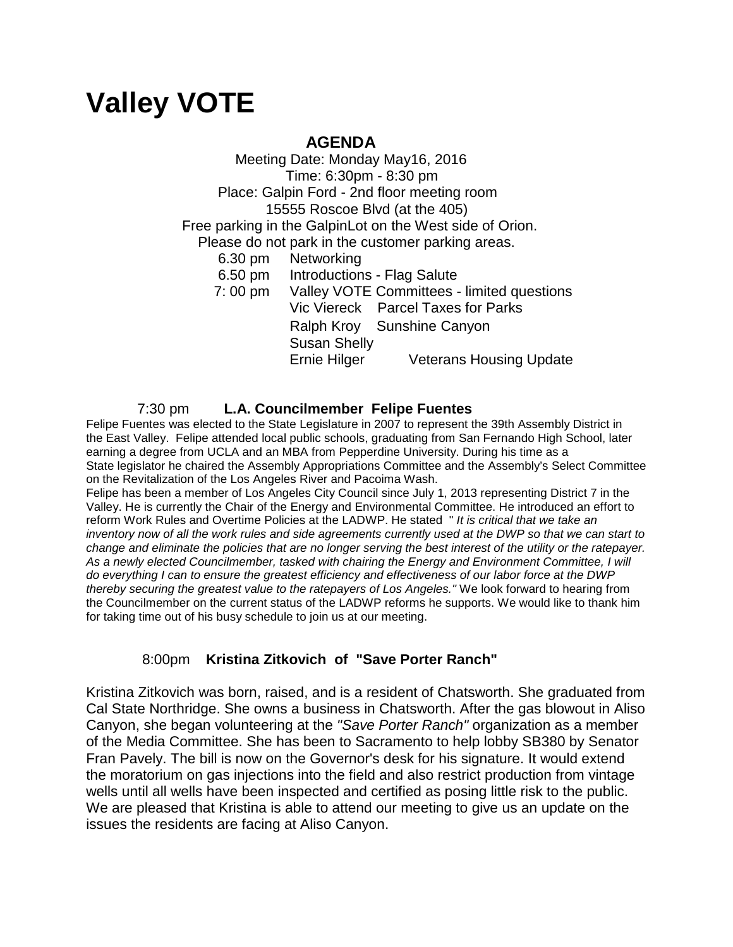# **Valley VOTE**

## **AGENDA**

 Meeting Date: Monday May16, 2016 Time: 6:30pm - 8:30 pm Place: Galpin Ford - 2nd floor meeting room 15555 Roscoe Blvd (at the 405) Free parking in the GalpinLot on the West side of Orion. Please do not park in the customer parking areas. 6.30 pm Networking 6.50 pm Introductions - Flag Salute 7: 00 pm Valley VOTE Committees - limited questions Vic Viereck Parcel Taxes for Parks Ralph Kroy Sunshine Canyon Susan Shelly

Ernie Hilger Veterans Housing Update

### 7:30 pm **L.A. Councilmember Felipe Fuentes**

Felipe Fuentes was elected to the State Legislature in 2007 to represent the 39th Assembly District in the East Valley. Felipe attended local public schools, graduating from San Fernando High School, later earning a degree from UCLA and an MBA from Pepperdine University. During his time as a State legislator he chaired the Assembly Appropriations Committee and the Assembly's Select Committee on the Revitalization of the Los Angeles River and Pacoima Wash.

Felipe has been a member of Los Angeles City Council since July 1, 2013 representing District 7 in the Valley. He is currently the Chair of the Energy and Environmental Committee. He introduced an effort to reform Work Rules and Overtime Policies at the LADWP. He stated " *It is critical that we take an inventory now of all the work rules and side agreements currently used at the DWP so that we can start to change and eliminate the policies that are no longer serving the best interest of the utility or the ratepayer. As a newly elected Councilmember, tasked with chairing the Energy and Environment Committee, I will do everything I can to ensure the greatest efficiency and effectiveness of our labor force at the DWP thereby securing the greatest value to the ratepayers of Los Angeles."* We look forward to hearing from the Councilmember on the current status of the LADWP reforms he supports. We would like to thank him for taking time out of his busy schedule to join us at our meeting.

### 8:00pm **Kristina Zitkovich of "Save Porter Ranch"**

Kristina Zitkovich was born, raised, and is a resident of Chatsworth. She graduated from Cal State Northridge. She owns a business in Chatsworth. After the gas blowout in Aliso Canyon, she began volunteering at the *"Save Porter Ranch"* organization as a member of the Media Committee. She has been to Sacramento to help lobby SB380 by Senator Fran Pavely. The bill is now on the Governor's desk for his signature. It would extend the moratorium on gas injections into the field and also restrict production from vintage wells until all wells have been inspected and certified as posing little risk to the public. We are pleased that Kristina is able to attend our meeting to give us an update on the issues the residents are facing at Aliso Canyon.